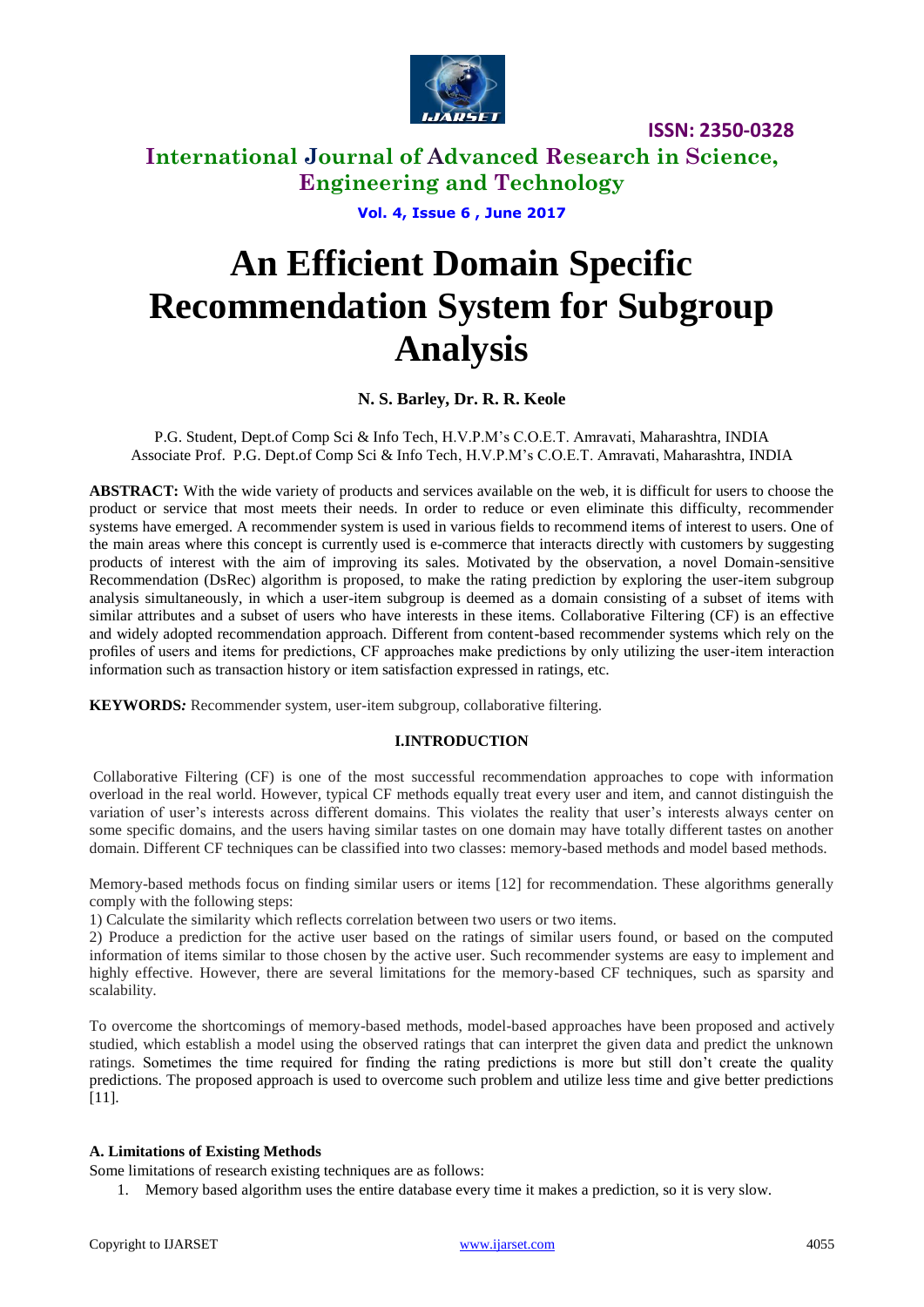

# **International Journal of Advanced Research in Science, Engineering and Technology**

**Vol. 4, Issue 6 , June 2017**

# **An Efficient Domain Specific Recommendation System for Subgroup Analysis**

#### **N. S. Barley, Dr. R. R. Keole**

P.G. Student, Dept.of Comp Sci & Info Tech, H.V.P.M's C.O.E.T. Amravati, Maharashtra, INDIA Associate Prof. P.G. Dept.of Comp Sci & Info Tech, H.V.P.M's C.O.E.T. Amravati, Maharashtra, INDIA

**ABSTRACT:** With the wide variety of products and services available on the web, it is difficult for users to choose the product or service that most meets their needs. In order to reduce or even eliminate this difficulty, recommender systems have emerged. A recommender system is used in various fields to recommend items of interest to users. One of the main areas where this concept is currently used is e-commerce that interacts directly with customers by suggesting products of interest with the aim of improving its sales. Motivated by the observation, a novel Domain-sensitive Recommendation (DsRec) algorithm is proposed, to make the rating prediction by exploring the user-item subgroup analysis simultaneously, in which a user-item subgroup is deemed as a domain consisting of a subset of items with similar attributes and a subset of users who have interests in these items. Collaborative Filtering (CF) is an effective and widely adopted recommendation approach. Different from content-based recommender systems which rely on the profiles of users and items for predictions, CF approaches make predictions by only utilizing the user-item interaction information such as transaction history or item satisfaction expressed in ratings, etc.

**KEYWORDS***:* Recommender system, user-item subgroup, collaborative filtering.

#### **I.INTRODUCTION**

Collaborative Filtering (CF) is one of the most successful recommendation approaches to cope with information overload in the real world. However, typical CF methods equally treat every user and item, and cannot distinguish the variation of user's interests across different domains. This violates the reality that user's interests always center on some specific domains, and the users having similar tastes on one domain may have totally different tastes on another domain. Different CF techniques can be classified into two classes: memory-based methods and model based methods.

Memory-based methods focus on finding similar users or items [12] for recommendation. These algorithms generally comply with the following steps:

1) Calculate the similarity which reflects correlation between two users or two items.

2) Produce a prediction for the active user based on the ratings of similar users found, or based on the computed information of items similar to those chosen by the active user. Such recommender systems are easy to implement and highly effective. However, there are several limitations for the memory-based CF techniques, such as sparsity and scalability.

To overcome the shortcomings of memory-based methods, model-based approaches have been proposed and actively studied, which establish a model using the observed ratings that can interpret the given data and predict the unknown ratings. Sometimes the time required for finding the rating predictions is more but still don't create the quality predictions. The proposed approach is used to overcome such problem and utilize less time and give better predictions [11].

#### **A. Limitations of Existing Methods**

Some limitations of research existing techniques are as follows:

1. Memory based algorithm uses the entire database every time it makes a prediction, so it is very slow.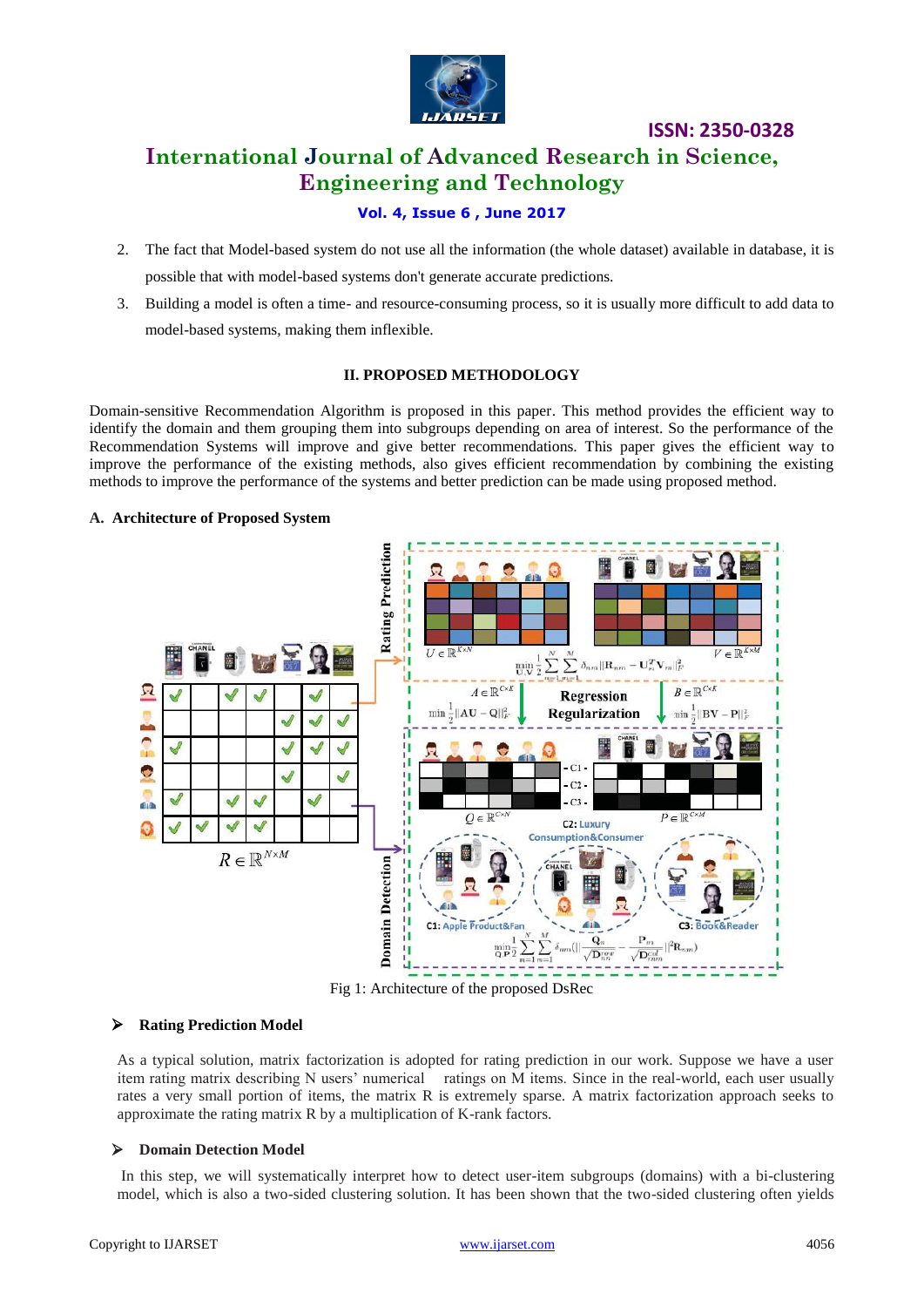

# **International Journal of Advanced Research in Science, Engineering and Technology**

**ISSN: 2350-0328**

#### **Vol. 4, Issue 6 , June 2017**

- 2. The fact that Model-based system do not use all the information (the whole dataset) available in database, it is possible that with model-based systems don't generate accurate predictions.
- 3. Building a model is often a time- and resource-consuming process, so it is usually more difficult to add data to model-based systems, making them inflexible.

#### **II. PROPOSED METHODOLOGY**

Domain-sensitive Recommendation Algorithm is proposed in this paper. This method provides the efficient way to identify the domain and them grouping them into subgroups depending on area of interest. So the performance of the Recommendation Systems will improve and give better recommendations. This paper gives the efficient way to improve the performance of the existing methods, also gives efficient recommendation by combining the existing methods to improve the performance of the systems and better prediction can be made using proposed method.

#### **A. Architecture of Proposed System**



Fig 1: Architecture of the proposed DsRec

#### **Rating Prediction Model**

As a typical solution, matrix factorization is adopted for rating prediction in our work. Suppose we have a user item rating matrix describing N users' numerical ratings on M items. Since in the real-world, each user usually rates a very small portion of items, the matrix R is extremely sparse. A matrix factorization approach seeks to approximate the rating matrix R by a multiplication of K-rank factors.

#### **Domain Detection Model**

In this step, we will systematically interpret how to detect user-item subgroups (domains) with a bi-clustering model, which is also a two-sided clustering solution. It has been shown that the two-sided clustering often yields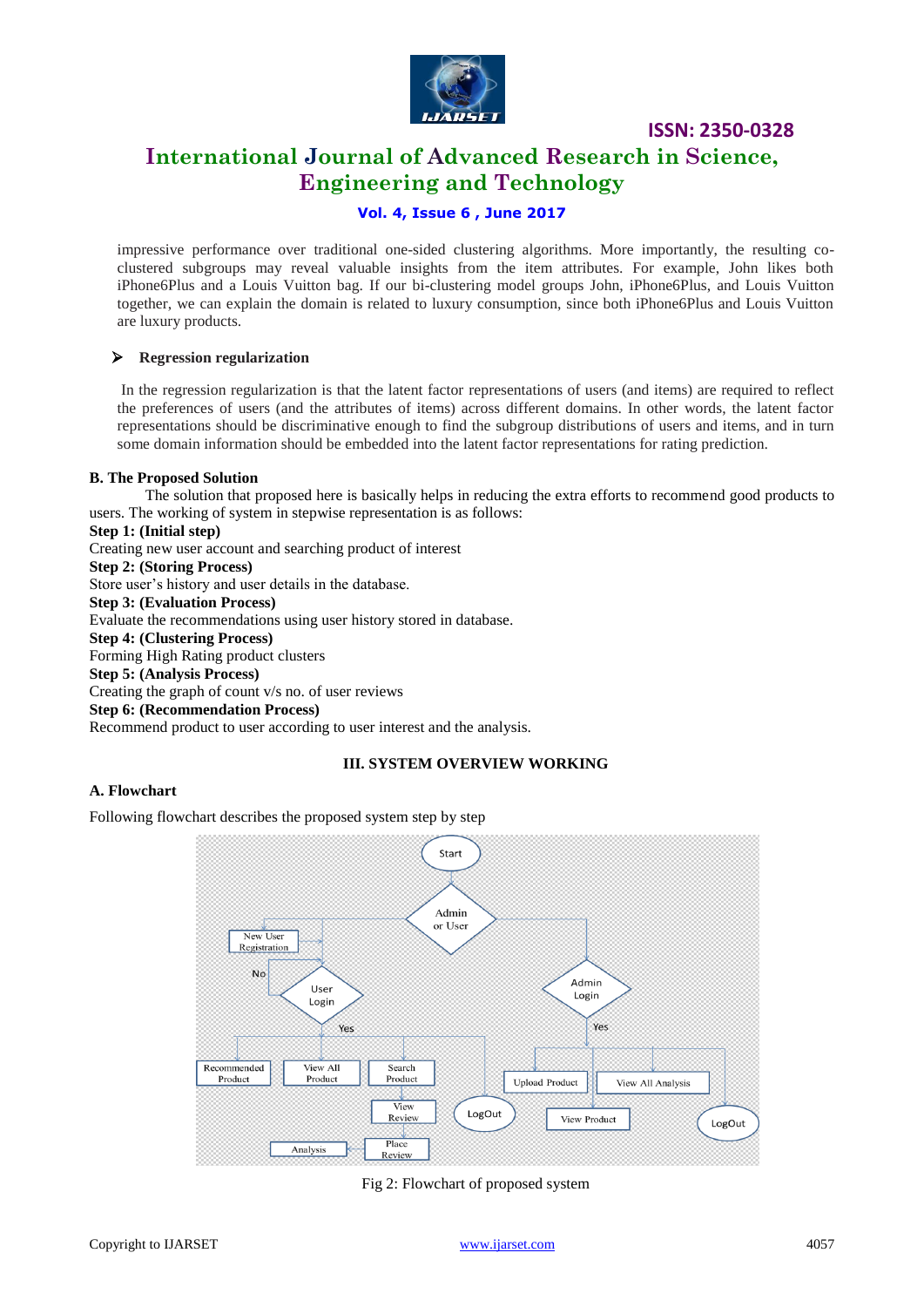

# **International Journal of Advanced Research in Science, Engineering and Technology**

#### **Vol. 4, Issue 6 , June 2017**

impressive performance over traditional one-sided clustering algorithms. More importantly, the resulting coclustered subgroups may reveal valuable insights from the item attributes. For example, John likes both iPhone6Plus and a Louis Vuitton bag. If our bi-clustering model groups John, iPhone6Plus, and Louis Vuitton together, we can explain the domain is related to luxury consumption, since both iPhone6Plus and Louis Vuitton are luxury products.

#### **Regression regularization**

In the regression regularization is that the latent factor representations of users (and items) are required to reflect the preferences of users (and the attributes of items) across different domains. In other words, the latent factor representations should be discriminative enough to find the subgroup distributions of users and items, and in turn some domain information should be embedded into the latent factor representations for rating prediction.

#### **B. The Proposed Solution**

The solution that proposed here is basically helps in reducing the extra efforts to recommend good products to users. The working of system in stepwise representation is as follows:

#### **Step 1: (Initial step)**

Creating new user account and searching product of interest

#### **Step 2: (Storing Process)**

Store user's history and user details in the database.

**Step 3: (Evaluation Process)**

Evaluate the recommendations using user history stored in database.

#### **Step 4: (Clustering Process)**

Forming High Rating product clusters

#### **Step 5: (Analysis Process)**

Creating the graph of count v/s no. of user reviews

#### **Step 6: (Recommendation Process)**

Recommend product to user according to user interest and the analysis.

#### **III. SYSTEM OVERVIEW WORKING**

#### **A. Flowchart**

Following flowchart describes the proposed system step by step



Fig 2: Flowchart of proposed system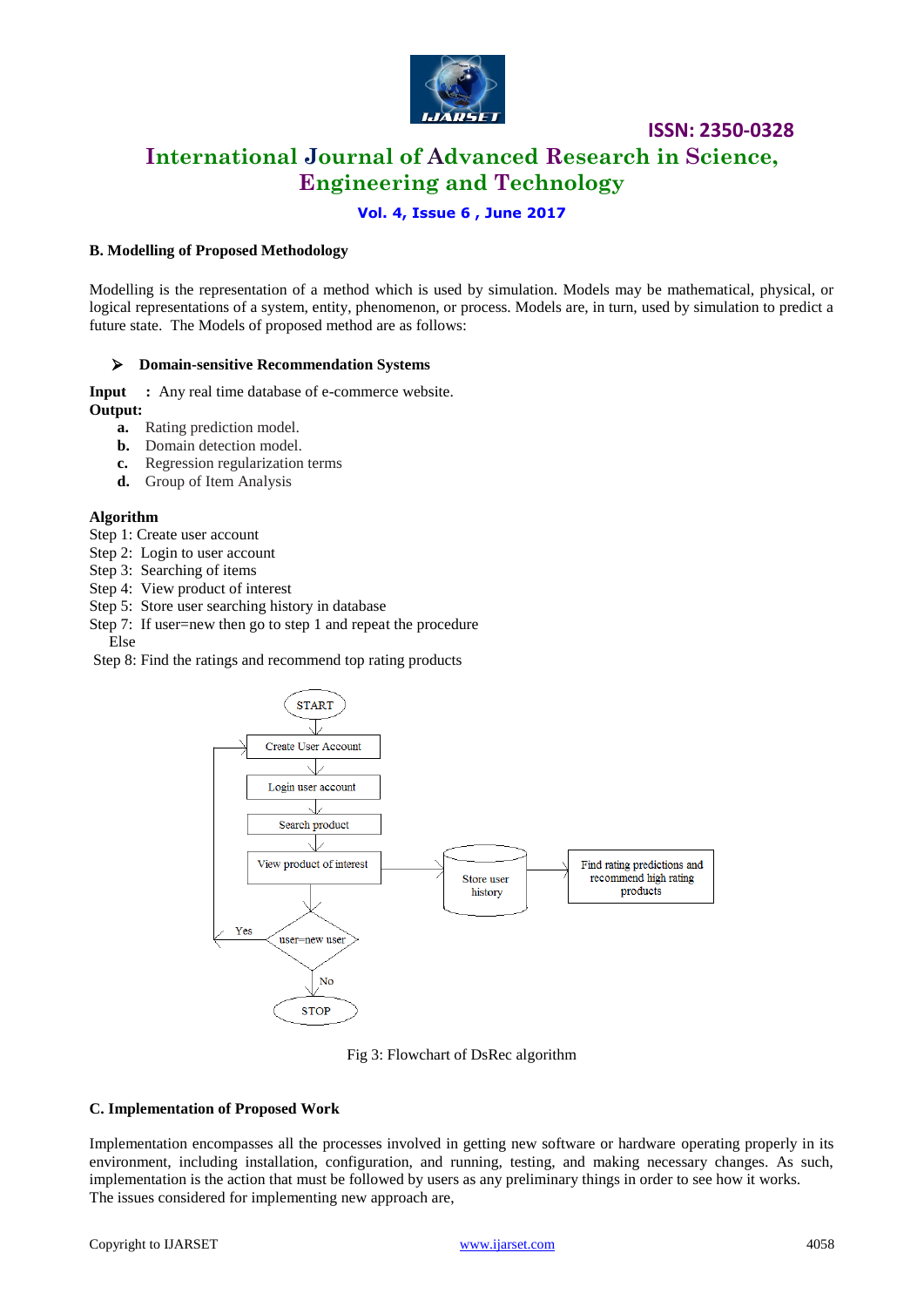

## **International Journal of Advanced Research in Science, Engineering and Technology**

#### **Vol. 4, Issue 6 , June 2017**

#### **B. Modelling of Proposed Methodology**

Modelling is the representation of a method which is used by simulation. Models may be mathematical, physical, or logical representations of a system, entity, phenomenon, or process. Models are, in turn, used by simulation to predict a future state. The Models of proposed method are as follows:

#### **Domain-sensitive Recommendation Systems**

**Input** : Any real time database of e-commerce website. **Output:** 

- **a.** Rating prediction model.
- **b.** Domain detection model.
- **c.** Regression regularization terms
- **d.** Group of Item Analysis

#### **Algorithm**

- Step 1: Create user account
- Step 2: Login to user account
- Step 3: Searching of items
- Step 4: View product of interest
- Step 5: Store user searching history in database
- Step 7: If user=new then go to step 1 and repeat the procedure Else

Step 8: Find the ratings and recommend top rating products



Fig 3: Flowchart of DsRec algorithm

#### **C. Implementation of Proposed Work**

Implementation encompasses all the processes involved in getting new software or hardware operating properly in its environment, including installation, configuration, and running, testing, and making necessary changes. As such, implementation is the action that must be followed by users as any preliminary things in order to see how it works. The issues considered for implementing new approach are,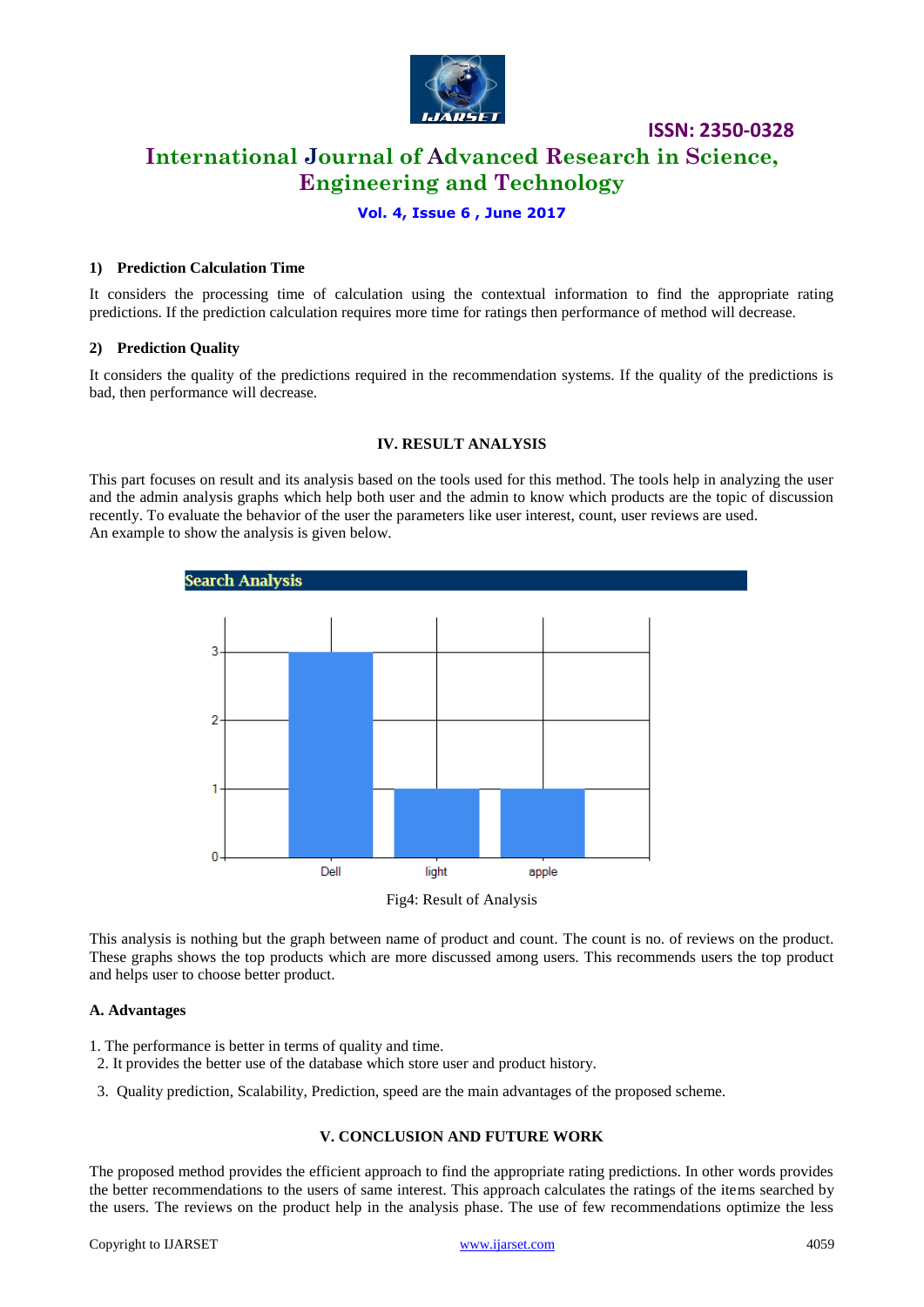

# **International Journal of Advanced Research in Science, Engineering and Technology**

#### **Vol. 4, Issue 6 , June 2017**

#### **1) Prediction Calculation Time**

It considers the processing time of calculation using the contextual information to find the appropriate rating predictions. If the prediction calculation requires more time for ratings then performance of method will decrease.

#### **2) Prediction Quality**

It considers the quality of the predictions required in the recommendation systems. If the quality of the predictions is bad, then performance will decrease.

#### **IV. RESULT ANALYSIS**

This part focuses on result and its analysis based on the tools used for this method. The tools help in analyzing the user and the admin analysis graphs which help both user and the admin to know which products are the topic of discussion recently. To evaluate the behavior of the user the parameters like user interest, count, user reviews are used. An example to show the analysis is given below.



Fig4: Result of Analysis

This analysis is nothing but the graph between name of product and count. The count is no. of reviews on the product. These graphs shows the top products which are more discussed among users. This recommends users the top product and helps user to choose better product.

#### **A. Advantages**

- 1. The performance is better in terms of quality and time.
- 2. It provides the better use of the database which store user and product history.
- 3. Quality prediction, Scalability, Prediction, speed are the main advantages of the proposed scheme.

#### **V. CONCLUSION AND FUTURE WORK**

The proposed method provides the efficient approach to find the appropriate rating predictions. In other words provides the better recommendations to the users of same interest. This approach calculates the ratings of the items searched by the users. The reviews on the product help in the analysis phase. The use of few recommendations optimize the less